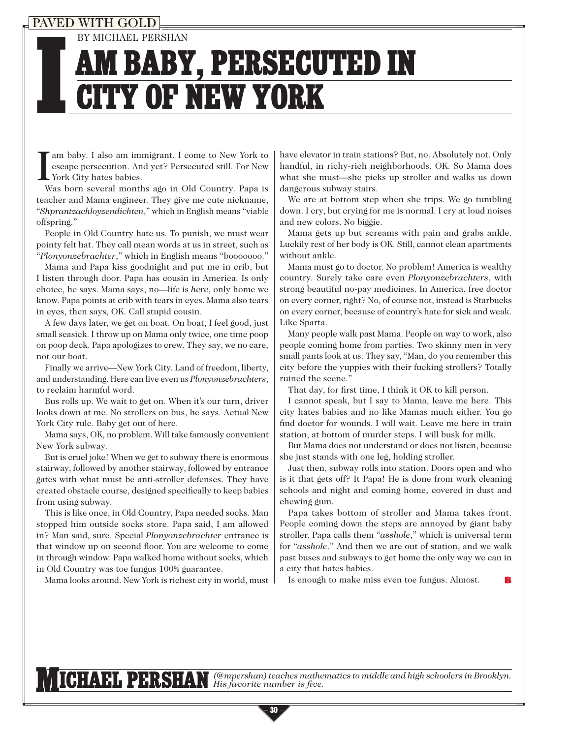## VED WITH GOL

BY MICHAEL PERSHAN

## I AM BABY, PERSECUTED IN CITY OF NEW YORK

am baby. I also am immigrant. I come to New York to escape persecution. And yet? Persecuted still. For New York City hates babies.

Was born several months ago in Old Country. Papa is teacher and Mama engineer. They give me cute nickname, "*Shprantzachloyzendichten*," which in English means "viable offspring."

People in Old Country hate us. To punish, we must wear pointy felt hat. They call mean words at us in street, such as "*Plonyonzebrachter*," which in English means "booooooo."

Mama and Papa kiss goodnight and put me in crib, but I listen through door. Papa has cousin in America. Is only choice, he says. Mama says, no—life is *here*, only home we know. Papa points at crib with tears in eyes. Mama also tears in eyes, then says, OK. Call stupid cousin.

A few days later, we get on boat. On boat, I feel good, just small seasick. I throw up on Mama only twice, one time poop on poop deck. Papa apologizes to crew. They say, we no care, not our boat.

Finally we arrive—New York City. Land of freedom, liberty, and understanding. Here can live even us *Plonyonzebrachters*, to reclaim harmful word.

Bus rolls up. We wait to get on. When it's our turn, driver looks down at me. No strollers on bus, he says. Actual New York City rule. Baby get out of here.

Mama says, OK, no problem. Will take famously convenient New York subway.

But is cruel joke! When we get to subway there is enormous stairway, followed by another stairway, followed by entrance gates with what must be anti-stroller defenses. They have created obstacle course, designed specifically to keep babies from using subway.

This is like once, in Old Country, Papa needed socks. Man stopped him outside socks store. Papa said, I am allowed in? Man said, sure. Special *Plonyonzebrachter* entrance is that window up on second floor. You are welcome to come in through window. Papa walked home without socks, which in Old Country was toe fungus 100% guarantee.

Mama looks around. New York is richest city in world, must

have elevator in train stations? But, no. Absolutely not. Only handful, in richy-rich neighborhoods. OK. So Mama does what she must—she picks up stroller and walks us down dangerous subway stairs.

We are at bottom step when she trips. We go tumbling down. I cry, but crying for me is normal. I cry at loud noises and new colors. No biggie.

Mama gets up but screams with pain and grabs ankle. Luckily rest of her body is OK. Still, cannot clean apartments without ankle.

Mama must go to doctor. No problem! America is wealthy country. Surely take care even *Plonyonzebrachters*, with strong beautiful no-pay medicines. In America, free doctor on every corner, right? No, of course not, instead is Starbucks on every corner, because of country's hate for sick and weak. Like Sparta.

Many people walk past Mama. People on way to work, also people coming home from parties. Two skinny men in very small pants look at us. They say, "Man, do you remember this city before the yuppies with their fucking strollers? Totally ruined the scene."

That day, for first time, I think it OK to kill person.

I cannot speak, but I say to Mama, leave me here. This city hates babies and no like Mamas much either. You go find doctor for wounds. I will wait. Leave me here in train station, at bottom of murder steps. I will busk for milk.

But Mama does not understand or does not listen, because she just stands with one leg, holding stroller.

 Just then, subway rolls into station. Doors open and who is it that gets off? It Papa! He is done from work cleaning schools and night and coming home, covered in dust and chewing gum.

Papa takes bottom of stroller and Mama takes front. People coming down the steps are annoyed by giant baby stroller. Papa calls them "*asshole*," which is universal term for "*asshole*." And then we are out of station, and we walk past buses and subways to get home the only way we can in a city that hates babies.

Is enough to make miss even toe fungus. Almost.

MICHAEL PERSHAN *(@mpershan) teaches mathematics to middle and high schoolers in Brooklyn. His favorite number is five.*